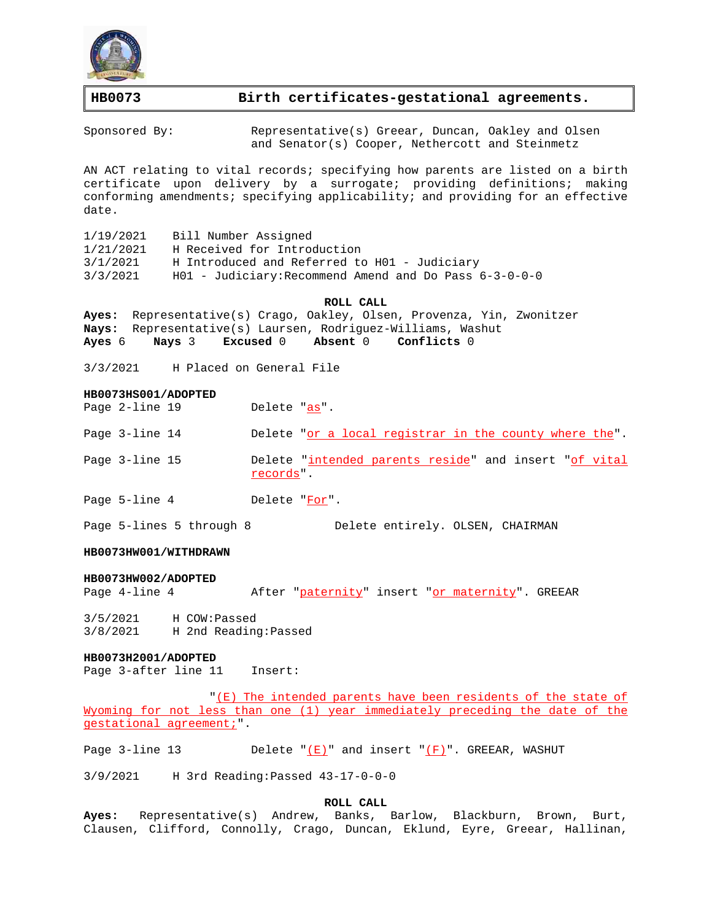

# **HB0073 Birth certificates-gestational agreements.**

Sponsored By: Representative(s) Greear, Duncan, Oakley and Olsen and Senator(s) Cooper, Nethercott and Steinmetz

AN ACT relating to vital records; specifying how parents are listed on a birth certificate upon delivery by a surrogate; providing definitions; making conforming amendments; specifying applicability; and providing for an effective date.

| Bill Number Assigned<br>1/19/2021        |                                                            |
|------------------------------------------|------------------------------------------------------------|
| H Received for Introduction<br>1/21/2021 |                                                            |
| 3/1/2021                                 | H Introduced and Referred to H01 - Judiciary               |
| 3/3/2021                                 | $H01$ - Judiciary: Recommend Amend and Do Pass $6-3-0-0-0$ |

#### **ROLL CALL**

**Ayes:** Representative(s) Crago, Oakley, Olsen, Provenza, Yin, Zwonitzer **Nays:** Representative(s) Laursen, Rodriguez-Williams, Washut **Ayes** 6 **Nays** 3 **Excused** 0 **Absent** 0 **Conflicts** 0

3/3/2021 H Placed on General File

### **HB0073HS001/ADOPTED**

| Page 2-line 19 | Delete "as".                                                       |
|----------------|--------------------------------------------------------------------|
| Page 3-line 14 | Delete "or a local registrar in the county where the".             |
| Page 3-line 15 | Delete "intended parents reside" and insert "of vital<br>records". |
| Page 5-line 4  | Delete "For".                                                      |

Page 5-lines 5 through 8 Delete entirely. OLSEN, CHAIRMAN

### **HB0073HW001/WITHDRAWN**

#### **HB0073HW002/ADOPTED**

Page 4-line 4 After "paternity" insert "or maternity". GREEAR

3/5/2021 H COW:Passed 3/8/2021 H 2nd Reading:Passed

#### **HB0073H2001/ADOPTED**

Page 3-after line 11 Insert:

"(E) The intended parents have been residents of the state of Wyoming for not less than one (1) year immediately preceding the date of the gestational agreement;".

Page 3-line 13 Delete " $(E)$ " and insert " $(F)$ ". GREEAR, WASHUT

3/9/2021 H 3rd Reading:Passed 43-17-0-0-0

#### **ROLL CALL**

**Ayes:** Representative(s) Andrew, Banks, Barlow, Blackburn, Brown, Burt, Clausen, Clifford, Connolly, Crago, Duncan, Eklund, Eyre, Greear, Hallinan,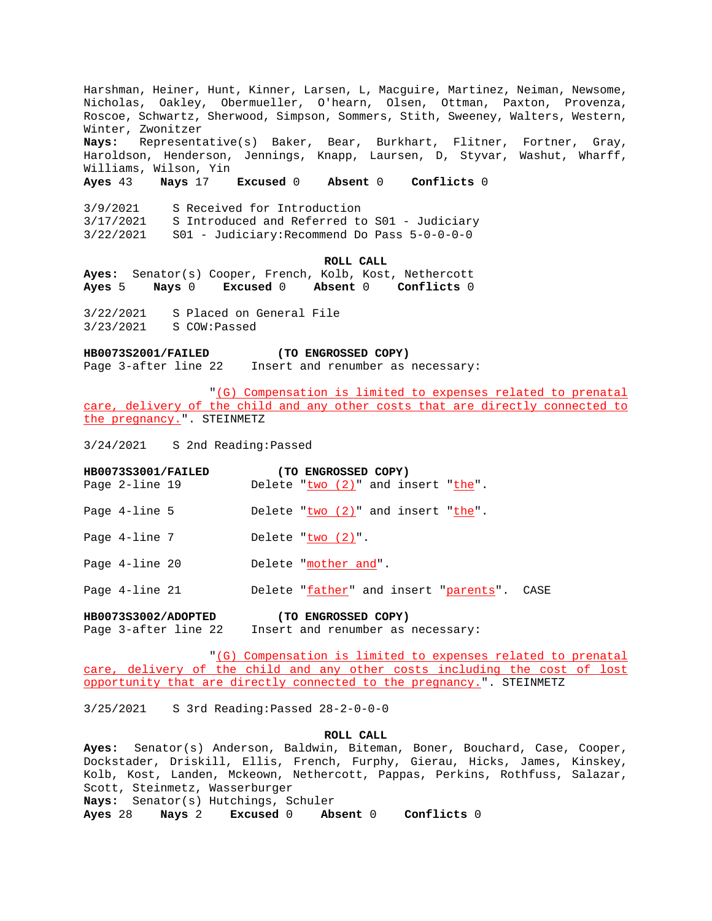Harshman, Heiner, Hunt, Kinner, Larsen, L, Macguire, Martinez, Neiman, Newsome, Nicholas, Oakley, Obermueller, O'hearn, Olsen, Ottman, Paxton, Provenza, Roscoe, Schwartz, Sherwood, Simpson, Sommers, Stith, Sweeney, Walters, Western, Winter, Zwonitzer **Nays:** Representative(s) Baker, Bear, Burkhart, Flitner, Fortner, Gray, Haroldson, Henderson, Jennings, Knapp, Laursen, D, Styvar, Washut, Wharff, Williams, Wilson, Yin **Ayes** 43 **Nays** 17 **Excused** 0 **Absent** 0 **Conflicts** 0 3/9/2021 S Received for Introduction 3/17/2021 S Introduced and Referred to S01 - Judiciary 3/22/2021 S01 - Judiciary:Recommend Do Pass 5-0-0-0-0 **ROLL CALL Ayes:** Senator(s) Cooper, French, Kolb, Kost, Nethercott **Ayes** 5 **Nays** 0 **Excused** 0 **Absent** 0 **Conflicts** 0 3/22/2021 S Placed on General File 3/23/2021 S COW:Passed **HB0073S2001/FAILED (TO ENGROSSED COPY)** Page 3-after line 22 Insert and renumber as necessary: "(G) Compensation is limited to expenses related to prenatal care, delivery of the child and any other costs that are directly connected to the pregnancy.". STEINMETZ 3/24/2021 S 2nd Reading:Passed **HB0073S3001/FAILED (TO ENGROSSED COPY)** Page 2-line 19 Delete " $two$  (2)" and insert " $the$ ". Page  $4$ -line  $5$  Delete " $two$   $(2)$ " and insert " $the$ ". Page  $4$ -line  $7$  Delete " $two$   $(2)$ ". Page 4-line 20 Delete "mother and". Page 4-line 21 Delete "father" and insert "parents". CASE **HB0073S3002/ADOPTED (TO ENGROSSED COPY)** Page 3-after line 22 Insert and renumber as necessary:

"(G) Compensation is limited to expenses related to prenatal care, delivery of the child and any other costs including the cost of lost opportunity that are directly connected to the pregnancy.". STEINMETZ

3/25/2021 S 3rd Reading:Passed 28-2-0-0-0

# **ROLL CALL**

**Ayes:** Senator(s) Anderson, Baldwin, Biteman, Boner, Bouchard, Case, Cooper, Dockstader, Driskill, Ellis, French, Furphy, Gierau, Hicks, James, Kinskey, Kolb, Kost, Landen, Mckeown, Nethercott, Pappas, Perkins, Rothfuss, Salazar, Scott, Steinmetz, Wasserburger **Nays:** Senator(s) Hutchings, Schuler **Ayes** 28 **Nays** 2 **Excused** 0 **Absent** 0 **Conflicts** 0